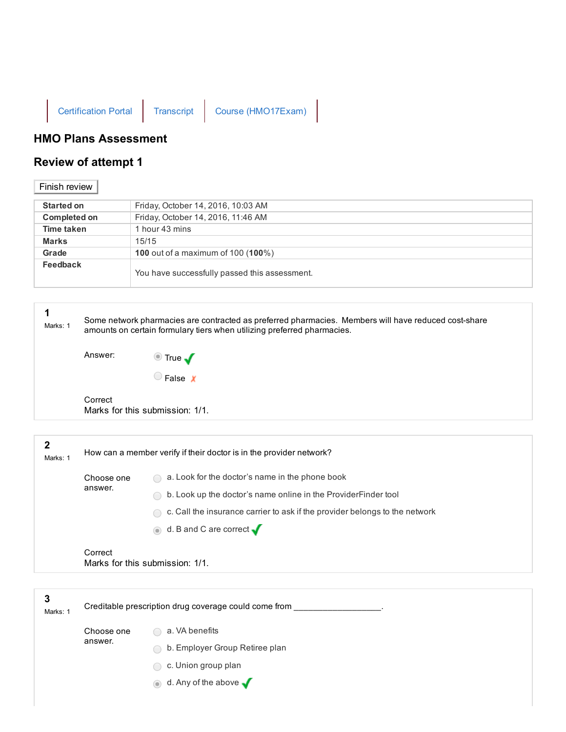

## HMO Plans Assessment

## Review of attempt 1

## Finish review

| <b>Started on</b>   | Friday, October 14, 2016, 10:03 AM                 |
|---------------------|----------------------------------------------------|
| <b>Completed on</b> | Friday, October 14, 2016, 11:46 AM                 |
| Time taken          | 1 hour 43 mins                                     |
| <b>Marks</b>        | 15/15                                              |
| Grade               | <b>100</b> out of a maximum of 100 ( <b>100</b> %) |
| Feedback            | You have successfully passed this assessment.      |

| 1<br>Marks: 1 | Some network pharmacies are contracted as preferred pharmacies. Members will have reduced cost-share<br>amounts on certain formulary tiers when utilizing preferred pharmacies. |                                                                             |
|---------------|---------------------------------------------------------------------------------------------------------------------------------------------------------------------------------|-----------------------------------------------------------------------------|
|               | Answer:                                                                                                                                                                         | $\bullet$ True $\blacktriangledown$                                         |
|               |                                                                                                                                                                                 | False X                                                                     |
|               | Correct                                                                                                                                                                         | Marks for this submission: 1/1.                                             |
| $\mathbf 2$   |                                                                                                                                                                                 |                                                                             |
| Marks: 1      |                                                                                                                                                                                 | How can a member verify if their doctor is in the provider network?         |
|               | Choose one<br>answer.                                                                                                                                                           | a. Look for the doctor's name in the phone book                             |
|               |                                                                                                                                                                                 | b. Look up the doctor's name online in the ProviderFinder tool              |
|               |                                                                                                                                                                                 | c. Call the insurance carrier to ask if the provider belongs to the network |
|               |                                                                                                                                                                                 | d. B and C are correct $\sqrt$                                              |
|               | Correct                                                                                                                                                                         | Marks for this submission: 1/1.                                             |
|               |                                                                                                                                                                                 |                                                                             |
| 3<br>Marks: 1 |                                                                                                                                                                                 | Creditable prescription drug coverage could come from __                    |
|               | Choose one<br>answer.                                                                                                                                                           | a. VA benefits                                                              |

- b. Employer Group Retiree plan
- C c. Union group plan
- $\bullet$  d. Any of the above  $\blacklozenge$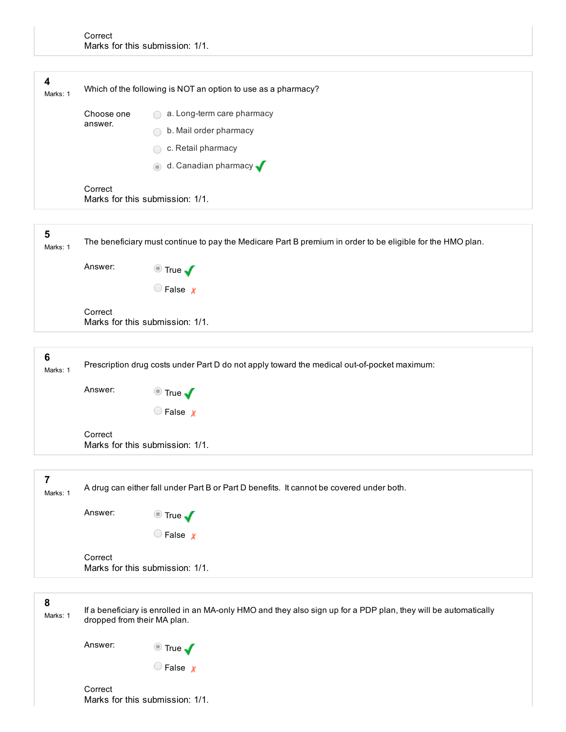| 4<br>Marks: 1 | Which of the following is NOT an option to use as a pharmacy? |                                   |
|---------------|---------------------------------------------------------------|-----------------------------------|
|               | Choose one<br>answer.                                         | a. Long-term care pharmacy        |
|               |                                                               | b. Mail order pharmacy            |
|               |                                                               | c. Retail pharmacy                |
|               |                                                               | d. Canadian pharmacy v<br>$\odot$ |
|               | Correct                                                       | Marks for this submission: 1/1.   |
|               |                                                               |                                   |

| ີວ<br>Marks: 1 | The beneficiary must continue to pay the Medicare Part B premium in order to be eligible for the HMO plan. |                                                                                             |  |
|----------------|------------------------------------------------------------------------------------------------------------|---------------------------------------------------------------------------------------------|--|
|                | Answer:                                                                                                    | $\bullet$ True $\blacktriangledown$                                                         |  |
|                |                                                                                                            | False x                                                                                     |  |
|                | Correct                                                                                                    | Marks for this submission: 1/1.                                                             |  |
|                |                                                                                                            |                                                                                             |  |
| 6<br>Marks: 1  |                                                                                                            | Prescription drug costs under Part D do not apply toward the medical out-of-pocket maximum: |  |

 $\bigcirc$  False  $\chi$ Correct

Answer:  $\bullet$  True  $\bullet$ 

Marks for this submission: 1/1.

|          | A drug can either fall under Part B or Part D benefits. It cannot be covered under both. |
|----------|------------------------------------------------------------------------------------------|
| Marks: 1 |                                                                                          |
|          |                                                                                          |

Answer: True  $\bigcirc$  False  $\boldsymbol{x}$ 

Correct Marks for this submission: 1/1.

8

 $\rightarrow$ 

Marks: 1 If a beneficiary is enrolled in an MA-only HMO and they also sign up for a PDP plan, they will be automatically dropped from their MA plan.

Answer: True

 $\bigcirc$  False  $\chi$ 

Correct Marks for this submission: 1/1.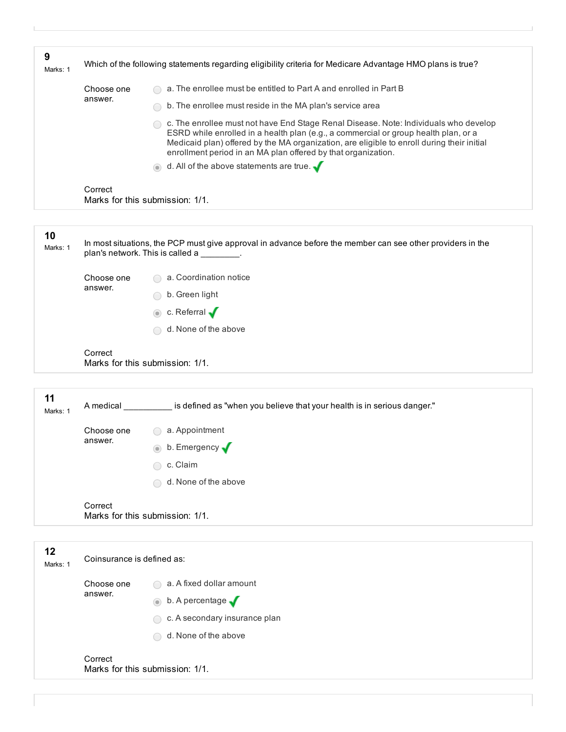| 9<br>Marks: 1  | Which of the following statements regarding eligibility criteria for Medicare Advantage HMO plans is true? |                                                                                                                                                                                                                                                                                                                                            |  |
|----------------|------------------------------------------------------------------------------------------------------------|--------------------------------------------------------------------------------------------------------------------------------------------------------------------------------------------------------------------------------------------------------------------------------------------------------------------------------------------|--|
|                | Choose one                                                                                                 | a. The enrollee must be entitled to Part A and enrolled in Part B                                                                                                                                                                                                                                                                          |  |
|                | answer.                                                                                                    | b. The enrollee must reside in the MA plan's service area                                                                                                                                                                                                                                                                                  |  |
|                |                                                                                                            | c. The enrollee must not have End Stage Renal Disease. Note: Individuals who develop<br>ESRD while enrolled in a health plan (e.g., a commercial or group health plan, or a<br>Medicaid plan) offered by the MA organization, are eligible to enroll during their initial<br>enrollment period in an MA plan offered by that organization. |  |
|                |                                                                                                            | d. All of the above statements are true. $\sqrt{\phantom{a}}$                                                                                                                                                                                                                                                                              |  |
|                | Correct                                                                                                    | Marks for this submission: 1/1.                                                                                                                                                                                                                                                                                                            |  |
|                |                                                                                                            |                                                                                                                                                                                                                                                                                                                                            |  |
| 10<br>Marks: 1 | plan's network. This is called a                                                                           | In most situations, the PCP must give approval in advance before the member can see other providers in the                                                                                                                                                                                                                                 |  |

| Choose one | a. Coordination notice<br>$\sim$   |
|------------|------------------------------------|
| answer.    | b. Green light<br>$\sqrt{2}$       |
|            | $\bullet$ c. Referral $\bullet$    |
|            | d. None of the above<br>$\sqrt{2}$ |
| Correct    |                                    |

Marks for this submission: 1/1.

| 11<br>Marks: 1 | A medical             | is defined as "when you believe that your health is in serious danger." |
|----------------|-----------------------|-------------------------------------------------------------------------|
|                | Choose one<br>answer. | a. Appointment<br>$( \ )$                                               |
|                |                       | b. Emergency<br>$\odot$                                                 |
|                |                       | c. Claim<br>∩                                                           |
|                |                       | d. None of the above<br>$\bigcirc$                                      |
|                | Correct               | Marks for this submission: 1/1.                                         |

| 12<br>Marks: 1 | Coinsurance is defined as: |                                            |  |
|----------------|----------------------------|--------------------------------------------|--|
| answer.        | Choose one                 | a. A fixed dollar amount                   |  |
|                |                            | $\bullet$ b. A percentage $\bullet$        |  |
|                |                            | c. A secondary insurance plan<br>$\bigcap$ |  |
|                |                            | d. None of the above<br>$\bigcirc$         |  |
|                | Correct                    | Marks for this submission: 1/1.            |  |